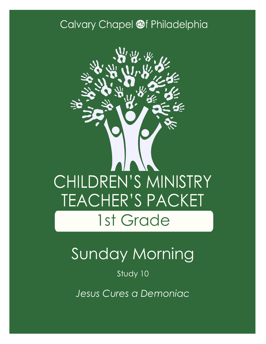### Calvary Chapel @f Philadelphia



# Sunday Morning

Study 10

*Jesus Cures a Demoniac*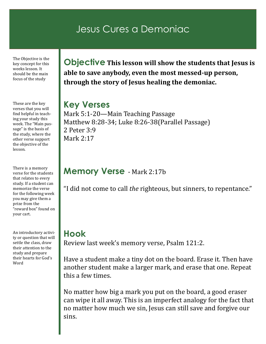### Jesus Cures a Demoniac

The Objective is the key concept for this weeks lesson. It should be the main focus of the study

These are the key verses that you will find helpful in teaching your study this week. The "Main passage" is the basis of the study, where the other verse support the objective of the lesson.

There is a memory verse for the students that relates to every study. If a student can memorize the verse for the following week you may give them a prize from the "reward box" found on your cart.

An introductory activity or question that will settle the class, draw their attention to the study and prepare their hearts for God's Word

**Objective This lesson will show the students that Jesus is able to save anybody, even the most messed-up person, through the story of Jesus healing the demoniac.**

#### **Key Verses**

Mark 5:1-20—Main Teaching Passage Matthew 8:28-34; Luke 8:26-38(Parallel Passage) 2 Peter 3:9 Mark 2:17

#### **Memory Verse** - Mark 2:17b

"I did not come to call *the* righteous, but sinners, to repentance."

#### **Hook**

Review last week's memory verse, Psalm 121:2.

Have a student make a tiny dot on the board. Erase it. Then have another student make a larger mark, and erase that one. Repeat this a few times.

No matter how big a mark you put on the board, a good eraser can wipe it all away. This is an imperfect analogy for the fact that no matter how much we sin, Jesus can still save and forgive our sins.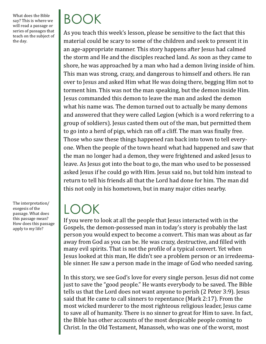What does the Bible say? This is where we will read a passage or series of passages that teach on the subject of the day.

BOOK

As you teach this week's lesson, please be sensitive to the fact that this material could be scary to some of the children and seek to present it in an age-appropriate manner. This story happens after Jesus had calmed the storm and He and the disciples reached land. As soon as they came to shore, he was approached by a man who had a demon living inside of him. This man was strong, crazy, and dangerous to himself and others. He ran over to Jesus and asked Him what He was doing there, begging Him not to torment him. This was not the man speaking, but the demon inside Him. Jesus commanded this demon to leave the man and asked the demon what his name was. The demon turned out to actually be many demons and answered that they were called Legion (which is a word referring to a group of soldiers). Jesus casted them out of the man, but permitted them to go into a herd of pigs, which ran off a cliff. The man was finally free. Those who saw these things happened ran back into town to tell everyone. When the people of the town heard what had happened and saw that the man no longer had a demon, they were frightened and asked Jesus to leave. As Jesus got into the boat to go, the man who used to be possessed asked Jesus if he could go with Him. Jesus said no, but told him instead to return to tell his friends all that the Lord had done for him. The man did this not only in his hometown, but in many major cities nearby.

## LOOK

If you were to look at all the people that Jesus interacted with in the Gospels, the demon-possessed man in today's story is probably the last person you would expect to become a convert. This man was about as far away from God as you can be. He was crazy, destructive, and filled with many evil spirits. That is not the profile of a typical convert. Yet when Jesus looked at this man, He didn't see a problem person or an irredeemable sinner. He saw a person made in the image of God who needed saving.

In this story, we see God's love for every single person. Jesus did not come just to save the "good people." He wants everybody to be saved. The Bible tells us that the Lord does not want anyone to perish (2 Peter 3:9). Jesus said that He came to call sinners to repentance (Mark 2:17). From the most wicked murderer to the most righteous religious leader, Jesus came to save all of humanity. There is no sinner to great for Him to save. In fact, the Bible has other accounts of the most despicable people coming to Christ. In the Old Testament, Manasseh, who was one of the worst, most

The interpretation/ exegesis of the passage. What does this passage mean? How does this passage apply to my life?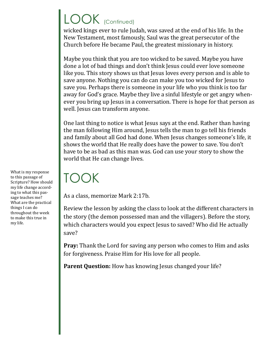## LOOK (Continued)

wicked kings ever to rule Judah, was saved at the end of his life. In the New Testament, most famously, Saul was the great persecutor of the Church before He became Paul, the greatest missionary in history.

Maybe you think that you are too wicked to be saved. Maybe you have done a lot of bad things and don't think Jesus could ever love someone like you. This story shows us that Jesus loves every person and is able to save anyone. Nothing you can do can make you too wicked for Jesus to save you. Perhaps there is someone in your life who you think is too far away for God's grace. Maybe they live a sinful lifestyle or get angry whenever you bring up Jesus in a conversation. There is hope for that person as well. Jesus can transform anyone.

One last thing to notice is what Jesus says at the end. Rather than having the man following Him around, Jesus tells the man to go tell his friends and family about all God had done. When Jesus changes someone's life, it shows the world that He really does have the power to save. You don't have to be as bad as this man was. God can use your story to show the world that He can change lives.

## TOOK

As a class, memorize Mark 2:17b.

Review the lesson by asking the class to look at the different characters in the story (the demon possessed man and the villagers). Before the story, which characters would you expect Jesus to saved? Who did He actually save?

**Pray:** Thank the Lord for saving any person who comes to Him and asks for forgiveness. Praise Him for His love for all people.

Parent Question: How has knowing Jesus changed your life?

What is my response to this passage of Scripture? How should my life change according to what this passage teaches me? What are the practical things I can do throughout the week to make this true in my life.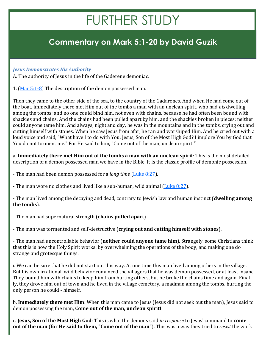## FURTHER STUDY

#### **Commentary on Mark 5:1-20 by David Guzik**

#### *Jesus Demonstrates His Authority*

A. The authority of Jesus in the life of the Gaderene demoniac.

1. [\(Mar 5:1](https://www.blueletterbible.org/kjv/mark/5/1-8/s_962001)-8) The description of the demon possessed man.

Then they came to the other side of the sea, to the country of the Gadarenes. And when He had come out of the boat, immediately there met Him out of the tombs a man with an unclean spirit, who had *his* dwelling among the tombs; and no one could bind him, not even with chains, because he had often been bound with shackles and chains. And the chains had been pulled apart by him, and the shackles broken in pieces; neither could anyone tame him. And always, night and day, he was in the mountains and in the tombs, crying out and cutting himself with stones. When he saw Jesus from afar, he ran and worshiped Him. And he cried out with a loud voice and said, "What have I to do with You, Jesus, Son of the Most High God? I implore You by God that You do not torment me." For He said to him, "Come out of the man, unclean spirit!"

a. **Immediately there met Him out of the tombs a man with an unclean spirit**: This is the most detailed description of a demon possessed man we have in the Bible. It is the classic profile of demonic possession.

- The man had been demon possessed for a *long time* ([Luke 8:27\)](https://www.blueletterbible.org/kjv/luke/8/27/s_981027).

- The man wore no clothes and lived like a sub-human, wild animal  $(Luke 8:27)$ .

- The man lived among the decaying and dead, contrary to Jewish law and human instinct (**dwelling among the tombs**).

- The man had supernatural strength (**chains pulled apart**).

- The man was tormented and self-destructive (**crying out and cutting himself with stones**).

- The man had uncontrollable behavior (**neither could anyone tame him**). Strangely, some Christians think that this is how the Holy Spirit works: by overwhelming the operations of the body, and making one do strange and grotesque things.

i. We can be sure that he did not start out this way. At one time this man lived among others in the village. But his own irrational, wild behavior convinced the villagers that he was demon possessed, or at least insane. They bound him with chains to keep him from hurting others, but he broke the chains time and again. Finally, they drove him out of town and he lived in the village cemetery, a madman among the tombs, hurting the only person he could - himself.

b. **Immediately there met Him**: When this man came to Jesus (Jesus did not seek out the man), Jesus said to demon possessing the man, **Come out of the man, unclean spirit!**

c. **Jesus, Son of the Most High God**: This is what the demons said *in response* to Jesus' command to **come out of the man** (**for He said to them, "Come out of the man"**). This was a way they tried to *resist* the work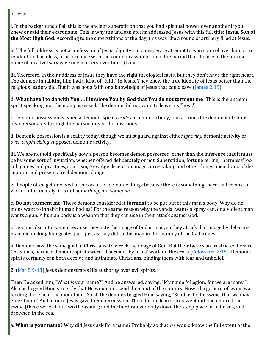of Jesus.

i. In the background of all this is the ancient superstition that you had spiritual power over another if you knew or said their exact name. This is why the unclean spirits addressed Jesus with this full title: **Jesus, Son of the Most High God**. According to the superstitions of the day, this was like a round of artillery fired at Jesus.

ii. "The full address is not a confession of Jesus' dignity but a desperate attempt to gain control over him or to render him harmless, in accordance with the common assumption of the period that the use of the precise name of an adversary gave one mastery over him." (Lane)

iii. Therefore, in their address of Jesus they have the right theological facts, but they don't have the right heart. The demons inhabiting him had a kind of "faith" in Jesus. They knew the true identity of Jesus better than the religious leaders did. But it was not a faith or a knowledge of Jesus that could save [\(James 2:19\)](https://www.blueletterbible.org/kjv/james/2/19/s_1148019).

d. **What have I to do with You … I implore You by God that You do not torment me**: This is the unclean spirit speaking, not the man possessed. The demon did not want to leave his "host."

i. Demonic possession is when a demonic spirit *resides* in a human body, and at times the demon will show its own personality through the personality of the host body.

ii. Demonic possession is a reality today, though we must guard against either *ignoring* demonic activity or *over-emphasizing* supposed demonic activity.

iii. We are not told specifically how a person becomes demon possessed, other than the inference that it must be by some sort of invitation, whether offered deliberately or not. Superstition, fortune telling, "harmless" occult games and practices, spiritism, New Age deception, magic, drug taking and other things open doors of deception, and present a real demonic danger.

iv. People often get involved in the occult or demonic things because there is something there that seems to work. Unfortunately, it is not some*thing*, but some*one*.

e. **Do not torment me**: These demons considered it **torment** to be put out of this man's body. Why do demons want to inhabit human bodies? For the same reason why the vandal wants a spray can, or a violent man wants a gun. A human body is a weapon that they can use in their attack against God.

i. Demons also attack men because they hate the image of God in man, so they attack that image by debasing man and making him grotesque - just as they did to this man in the country of the Gadarenes.

ii. Demons have the same goal in Christians: to wreck the image of God. But their tactics are restricted toward Christians, because demonic spirits were "disarmed" by Jesus' work on the cross ([Colossians 2:15\).](https://www.blueletterbible.org/kjv/colossians/2/15/s_1109015) Demonic spirits certainly can both deceive and intimidate Christians, binding them with fear and unbelief.

2.  $(Mar 5:9-13)$  $(Mar 5:9-13)$  $(Mar 5:9-13)$  Jesus demonstrates His authority over evil spirits.

Then He asked him, "What *is* your name?" And he answered, saying, "My name *is* Legion; for we are many." Also he begged Him earnestly that He would not send them out of the country. Now a large herd of swine was feeding there near the mountains. So all the demons begged Him, saying, "Send us to the swine, that we may enter them." And at once Jesus gave them permission. Then the unclean spirits went out and entered the swine (there were about two thousand); and the herd ran violently down the steep place into the sea, and drowned in the sea.

a. **What is your name?** Why did Jesus ask for a name? Probably so that *we* would know the full extent of the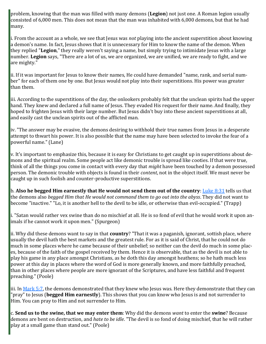problem, knowing that the man was filled with many demons (**Legion**) not just one. A Roman legion usually consisted of 6,000 men. This does not mean that the man was inhabited with 6,000 demons, but that he had many.

i. From the account as a whole, we see that Jesus was *not* playing into the ancient superstition about knowing a demon's name. In fact, Jesus shows that it is unnecessary for Him to know the name of the demon. When they replied "**Legion**," they really weren't saying a name, but simply trying to intimidate Jesus with a large number. **Legion** says, "There are a lot of us, we are organized, we are unified, we are ready to fight, and we are mighty."

ii. If it was important for Jesus to know their names, He could have demanded "name, rank, and serial number" for each of them one by one. But Jesus would not play into their superstitions. His power was greater than them.

iii. According to the superstitions of the day, the onlookers probably felt that the unclean spirits had the upper hand. They knew and declared a full name of Jesus. They evaded His request for their name. And finally, they hoped to frighten Jesus with their large number. But Jesus didn't buy into these ancient superstitions at all, and easily cast the unclean spirits out of the afflicted man.

iv. "The answer may be evasive, the demons desiring to withhold their true names from Jesus in a desperate attempt to thwart his power. It is also possible that the name may have been selected to invoke the fear of a powerful name." (Lane)

v. It's important to emphasize this, because it is easy for Christians to get caught up in superstitions about demons and the spiritual realm. Some people act like demonic trouble is spread like cooties. If that were true, think of all the things you come in contact with every day that *might* have been touched by a demon possessed person. The demonic trouble with objects is found in their *content*, not in the object itself. We must never be caught up in such foolish and counter-productive superstitions.

b. **Also he begged Him earnestly that He would not send them out of the country**: [Luke 8:31](https://www.blueletterbible.org/kjv/luke/8/31/s_981031) tells us that the demons also *begged Him that He would not command them to go out into the abyss*. They did not want to become "inactive." "Lo, it is another hell to the devil to be idle, or otherwise than evil-occupied." (Trapp)

i. "Satan would rather vex swine than do no mischief at all. He is so fond of evil that he would work it upon animals if he cannot work it upon men." (Spurgeon)

ii. Why did these demons want to say in that **country**? "That it was a paganish, ignorant, sottish place, where usually the devil hath the best markets and the greatest rule. For as it is said of Christ, that he could not do much in some places where he came because of their unbelief; so neither can the devil do much in some places, because of the faith of the gospel received by them. Hence it is observable, that as the devil is not able to play his game in any place amongst Christians, as he doth this day amongst heathens; so he hath much less power at this day in places where the word of God is more generally known, and more faithfully preached, than in other places where people are more ignorant of the Scriptures, and have less faithful and frequent preaching." (Poole)

iii. In [Mark 5:7,](https://www.blueletterbible.org/kjv/mark/5/7/s_962007) the demons demonstrated that they knew who Jesus was. Here they demonstrate that they can "pray" to Jesus (**begged Him earnestly**). This shows that you can know who Jesus is and not surrender to Him. You can pray to Him and not surrender to Him.

c. **Send us to the swine, that we may enter them**: Why did the demons *want* to enter the **swine**? Because demons are bent on destruction, and *hate to be idle*. "The devil is so fond of doing mischief, that he will rather play at a small game than stand out." (Poole)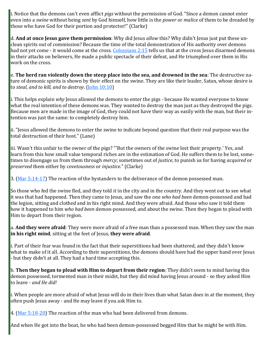i. Notice that the demons can't even afflict *pigs* without the permission of God. "Since a demon cannot enter even into a *swine* without being *sent* by God himself, how little is the *power* or *malice* of them to be dreaded by those who have God for their portion and protector!" (Clarke)

d. **And at once Jesus gave them permission**: Why did Jesus *allow* this? Why didn't Jesus just put these unclean spirits out of commission? Because the time of the total demonstration of His authority over demons had not yet come - it would come at the cross. [Colossians 2:15](https://www.blueletterbible.org/kjv/colossians/2/15/s_1109015) tells us that at the cross Jesus disarmed demons in their attacks on believers, He made a public spectacle of their defeat, and He triumphed over them in His work on the cross.

e. **The herd ran violently down the steep place into the sea, and drowned in the sea**: The destructive nature of demonic spirits is shown by their effect on the swine. They are like their leader, Satan, whose desire is to *steal, and to kill, and to destroy*. ([John 10:10\)](https://www.blueletterbible.org/kjv/john/10/10/s_1007010)

i. This helps explain *why* Jesus allowed the demons to enter the pigs - because He wanted everyone to know what the real intention of these demons was. They wanted to destroy the man just as they destroyed the pigs. Because men are made in the image of God, they could not have their way as easily with the man, but their intention was just the same: to completely destroy him.

ii. "Jesus allowed the demons to enter the swine to indicate beyond question that their real purpose was the total destruction of their host." (Lane)

iii. Wasn't this unfair to the owner of the pigs? "'But the owners of the swine lost their property.' Yes, and learn from this how small value temporal riches are in the estimation of God. He suffers them to be lost, sometimes to disengage us from them through *mercy*; sometimes out of *justice*, to punish us for having *acquired* or *preserved* them either by *covetousness* or *injustice*." (Clarke)

3.  $(Mar 5:14-17)$  $(Mar 5:14-17)$  $(Mar 5:14-17)$  The reaction of the bystanders to the deliverance of the demon possessed man.

So those who fed the swine fled, and they told *it* in the city and in the country. And they went out to see what it was that had happened. Then they came to Jesus, and saw the one *who had been* demon-possessed and had the legion, sitting and clothed and in his right mind. And they were afraid. And those who saw it told them how it happened to him *who had been* demon-possessed, and about the swine. Then they began to plead with Him to depart from their region.

a. **And they were afraid**: They were more afraid of a free man than a possessed man. When they saw the man **in his right mind**, sitting at the feet of Jesus, **they were afraid**.

i. Part of their fear was found in the fact that their superstitions had been shattered, and they didn't know what to make of it all. According to their superstitions, the demons should have had the upper hand over Jesus - but they didn't at all. They had a hard time accepting this.

b. **Then they began to plead with Him to depart from their region**: They didn't seem to mind having this demon possessed, tormented man in their midst, but they did mind having Jesus around - so they asked Him to leave - *and He did!*

i. When people are more afraid of what Jesus will do in their lives than what Satan does in at the moment, they often push Jesus away - and He may leave if you ask Him to.

4. ([Mar 5:18](https://www.blueletterbible.org/kjv/mark/5/18-20/s_962018)-20) The reaction of the man who had been delivered from demons.

And when He got into the boat, he who had been demon-possessed begged Him that he might be with Him.